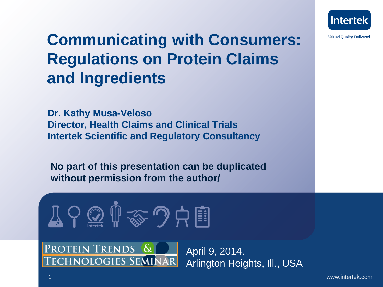

## **Communicating with Consumers: Regulations on Protein Claims and Ingredients**

**Dr. Kathy Musa-Veloso Director, Health Claims and Clinical Trials Intertek Scientific and Regulatory Consultancy**

**No part of this presentation can be duplicated without permission from the author/**

$$
\text{Tr} \left( \bigcap_{\text{Lipole}} \bigoplus_{\text{Lipole}} \text{Tr} \left( \bigoplus_{\text{Lipole}} \bigoplus_{\text{Lipole}} \bigoplus_{\text{Lipole}} \bigoplus_{\text{Lipole}} \bigoplus_{\text{Lipole}} \bigoplus_{\text{Lipole}} \bigoplus_{\text{Lipole}} \bigoplus_{\text{Lipole}} \bigoplus_{\text{Lipole}} \bigoplus_{\text{Lipole}} \bigoplus_{\text{Lipole}} \bigoplus_{\text{Lipole}} \bigoplus_{\text{Lipole}} \bigoplus_{\text{Lipole}} \bigoplus_{\text{Lipole}} \bigoplus_{\text{Lipole}} \bigoplus_{\text{Lipole}} \bigoplus_{\text{Lipole}} \bigoplus_{\text{Lipole}} \bigoplus_{\text{Lipole}} \bigoplus_{\text{Lipole}} \bigoplus_{\text{Lipole}} \bigoplus_{\text{Lipole}} \bigoplus_{\text{Lipole}} \bigoplus_{\text{Lipole}} \bigoplus_{\text{Lipole}} \bigoplus_{\text{Lipole}} \bigoplus_{\text{Lipole}} \bigoplus_{\text{Lipole}} \bigoplus_{\text{Lipole}} \bigoplus_{\text{Lipole}} \bigoplus_{\text{Lipole}} \bigoplus_{\text{Lipole}} \bigoplus_{\text{Lipole}} \bigoplus_{\text{Lipole}} \bigoplus_{\text{Lipole}} \bigoplus_{\text{Lipole}} \bigoplus_{\text{Lipole}} \bigoplus_{\text{Lipole}} \bigoplus_{\text{Lipole}} \bigoplus_{\text{Lipole}} \bigoplus_{\text{Lipole}} \bigoplus_{\text{Lipole}} \bigoplus_{\text{Lipole}} \bigoplus_{\text{Lipole}} \bigoplus_{\text{Lipole}} \bigoplus_{\text{Lipole}} \bigoplus_{\text{Lipole}} \bigoplus_{\text{Lipole}} \bigoplus_{\text{Lipole}} \bigoplus_{\text{Lipole}} \bigoplus_{\text{Lipole}} \bigoplus_{\text{Lipole}} \bigoplus_{\text{Lipole}} \bigoplus_{\text{Lipole}} \bigoplus_{\text{Lipole}} \bigoplus_{\text{Lipole}} \bigoplus_{\text{Lipole}} \bigoplus_{\text{Lipole}} \bigoplus_{\text{Lipole}} \
$$

Protein Trends & **TECHNOLOGIES SEMINAR** 

April 9, 2014. Arlington Heights, Ill., USA

1 www.intertek.com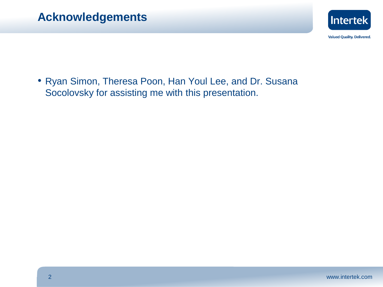

• Ryan Simon, Theresa Poon, Han Youl Lee, and Dr. Susana Socolovsky for assisting me with this presentation.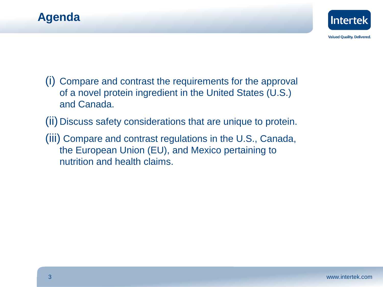



- (i) Compare and contrast the requirements for the approval of a novel protein ingredient in the United States (U.S.) and Canada.
- (ii) Discuss safety considerations that are unique to protein.
- (iii) Compare and contrast regulations in the U.S., Canada, the European Union (EU), and Mexico pertaining to nutrition and health claims.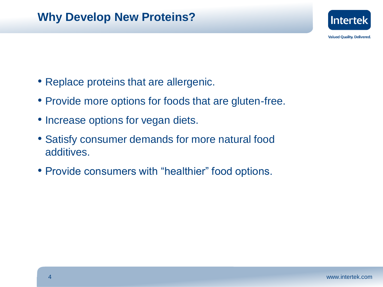

- Replace proteins that are allergenic.
- Provide more options for foods that are gluten-free.
- Increase options for vegan diets.
- Satisfy consumer demands for more natural food additives.
- Provide consumers with "healthier" food options.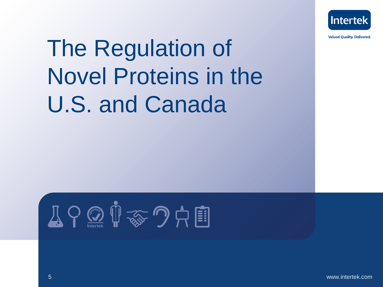

# The Regulation of Novel Proteins in the U.S. and Canada

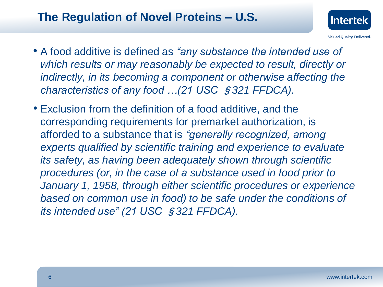## **The Regulation of Novel Proteins – U.S.**



- A food additive is defined as *"any substance the intended use of which results or may reasonably be expected to result, directly or indirectly, in its becoming a component or otherwise affecting the characteristics of any food …(21 USC* §*321 FFDCA).*
- Exclusion from the definition of a food additive, and the corresponding requirements for premarket authorization, is afforded to a substance that is *"generally recognized, among experts qualified by scientific training and experience to evaluate its safety, as having been adequately shown through scientific procedures (or, in the case of a substance used in food prior to January 1, 1958, through either scientific procedures or experience based on common use in food) to be safe under the conditions of its intended use" (21 USC* §*321 FFDCA).*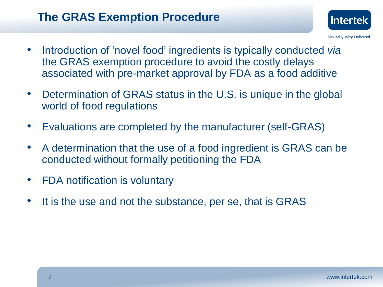## **The GRAS Exemption Procedure**



- Introduction of 'novel food' ingredients is typically conducted *via* the GRAS exemption procedure to avoid the costly delays associated with pre-market approval by FDA as a food additive
- Determination of GRAS status in the U.S. is unique in the global world of food regulations
- Evaluations are completed by the manufacturer (self-GRAS)
- A determination that the use of a food ingredient is GRAS can be conducted without formally petitioning the FDA
- FDA notification is voluntary
- It is the use and not the substance, per se, that is GRAS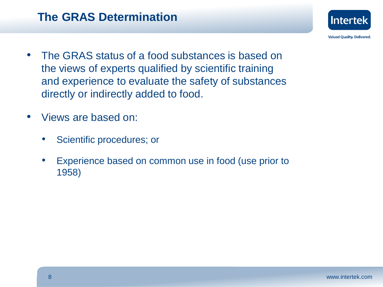

- The GRAS status of a food substances is based on the views of experts qualified by scientific training and experience to evaluate the safety of substances directly or indirectly added to food.
- Views are based on:
	- Scientific procedures; or
	- Experience based on common use in food (use prior to 1958)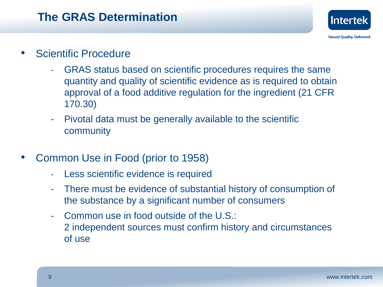

- Scientific Procedure
	- GRAS status based on scientific procedures requires the same quantity and quality of scientific evidence as is required to obtain approval of a food additive regulation for the ingredient (21 CFR 170.30)
	- Pivotal data must be generally available to the scientific community
- Common Use in Food (prior to 1958)
	- Less scientific evidence is required
	- There must be evidence of substantial history of consumption of the substance by a significant number of consumers
	- Common use in food outside of the U.S.: 2 independent sources must confirm history and circumstances of use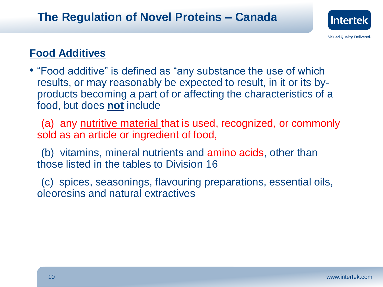

#### **Food Additives**

• "Food additive" is defined as "any substance the use of which results, or may reasonably be expected to result, in it or its byproducts becoming a part of or affecting the characteristics of a food, but does **not** include

 (a) any nutritive material that is used, recognized, or commonly sold as an article or ingredient of food,

 (b) vitamins, mineral nutrients and amino acids, other than those listed in the tables to Division 16

 (c) spices, seasonings, flavouring preparations, essential oils, oleoresins and natural extractives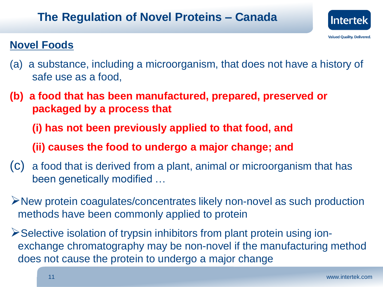## **The Regulation of Novel Proteins – Canada**



### **Novel Foods**

- (a) a substance, including a microorganism, that does not have a history of safe use as a food,
- **(b) a food that has been manufactured, prepared, preserved or packaged by a process that**
	- **(i) has not been previously applied to that food, and**
	- **(ii) causes the food to undergo a major change; and**
- (c) a food that is derived from a plant, animal or microorganism that has been genetically modified …
- New protein coagulates/concentrates likely non-novel as such production methods have been commonly applied to protein
- **EXEL EXECTE ISOLATION SET IS ONE OR FIGHTER FROM FIGHTER FIGHTER FIGHTER FIGHTER FIGHTER FIGHTER FIGHTER FIGHTER FIGHTER FIGHTER FIGHTER FIGHTER FIGHTER FIGHTER FIGHTER FIGHTER FIGHTER FIGHTER FIGHTER FIGHTER FIGHTER FIG** exchange chromatography may be non-novel if the manufacturing method does not cause the protein to undergo a major change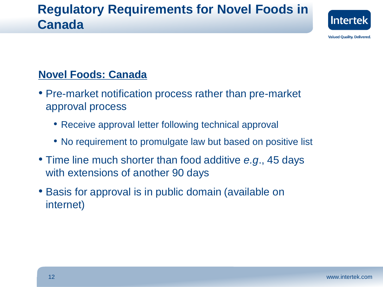## **Regulatory Requirements for Novel Foods in Canada**



**Valued Quality. Delivered.** 

#### **Novel Foods: Canada**

- Pre-market notification process rather than pre-market approval process
	- Receive approval letter following technical approval
	- No requirement to promulgate law but based on positive list
- Time line much shorter than food additive *e.g*., 45 days with extensions of another 90 days
- Basis for approval is in public domain (available on internet)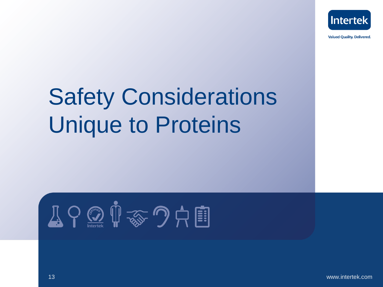

## Safety Considerations Unique to Proteins

$$
\text{Tr} \left( \bigoplus_{\text{Im} \text{ } \text{tr}} \bigoplus_{\text{Im} \text{ } \text{tr}} \bigoplus_{\text{Im} \text{ } \text{Im} \text{ } \text{tr}} \bigoplus_{\text{Im} \text{ } \text{Im} \text{ } \text{Im} \text{ } \text{Im} \text{ } \text{Im} \text{ } \text{Im} \text{ } \text{Im} \text{ } \text{Im} \text{ } \text{Im} \text{ } \text{Im} \text{ } \text{Im} \text{ } \text{Im} \text{ } \text{Im} \text{ } \text{Im} \text{ } \text{Im} \text{ } \text{Im} \text{ } \text{Im} \text{ } \text{Im} \text{ } \text{Im} \text{ } \text{Im} \text{ } \text{Im} \text{ } \text{Im} \text{ } \text{Im} \text{ } \text{Im} \text{ } \text{Im} \text{ } \text{Im} \text{ } \text{Im} \text{ } \text{Im} \text{ } \text{Im} \text{ } \text{Im} \text{ } \text{Im} \text{ } \text{Im} \text{ } \text{Im} \text{ } \text{Im} \text{ } \text{Im} \text{ } \text{Im} \text{ } \text{Im} \text{ } \text{Im} \text{ } \text{Im} \text{ } \text{Im} \text{ } \text{Im} \text{ } \text{Im} \text{ } \text{Im} \text{ } \text{Im} \text{ } \text{Im} \text{ } \text{Im} \text{ } \text{Im} \text{ } \text{Im} \text{ } \text{Im} \text{ } \text{Im} \text{ } \text{Im} \text{ } \text{Im} \text{ } \text{Im} \text{ } \text{Im} \text{ } \text{Im} \text{ } \text{Im} \text{ } \text{Im} \text{ } \text{Im} \text{ } \text{Im} \text{ } \text{Im} \text{ } \text{Im} \text{ } \text{Im} \text{ } \text{Im} \text{ } \text{Im} \text{ } \text{Im} \text{ } \text{Im} \text{ } \text{Im} \text{ } \text{Im} \text{ } \text{Im} \text{ } \text{Im} \text{ } \text{Im} \text{ } \text{Im} \text{ } \text{Im} \text{ } \text{Im} \text{ } \text{Im} \text{ } \text{Im} \
$$

13 www.intertek.com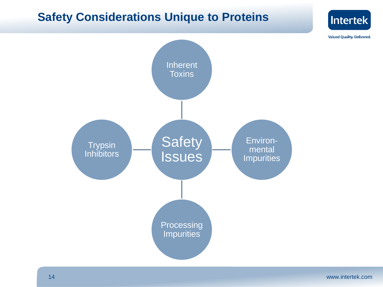### **Safety Considerations Unique to Proteins**



Intertek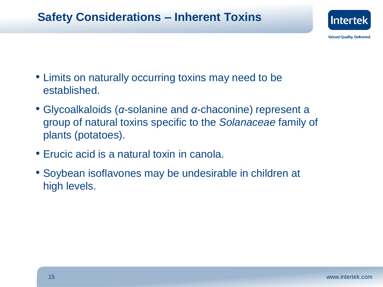## **Safety Considerations – Inherent Toxins**



- Limits on naturally occurring toxins may need to be established.
- Glycoalkaloids (*α*-solanine and *α*-chaconine) represent a group of natural toxins specific to the *Solanaceae* family of plants (potatoes).
- Erucic acid is a natural toxin in canola.
- Soybean isoflavones may be undesirable in children at high levels.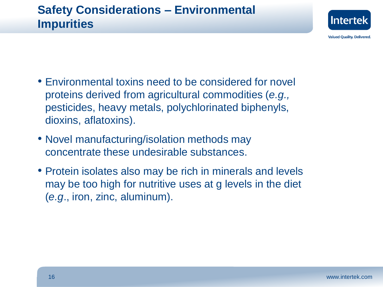

- Environmental toxins need to be considered for novel proteins derived from agricultural commodities (*e.g.,*  pesticides, heavy metals, polychlorinated biphenyls, dioxins, aflatoxins).
- Novel manufacturing/isolation methods may concentrate these undesirable substances.
- Protein isolates also may be rich in minerals and levels may be too high for nutritive uses at g levels in the diet (*e.g*., iron, zinc, aluminum).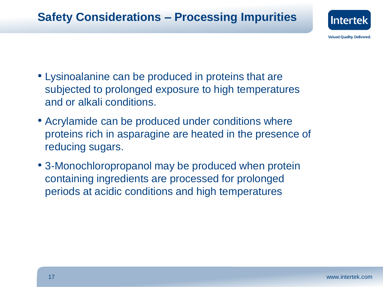

- Lysinoalanine can be produced in proteins that are subjected to prolonged exposure to high temperatures and or alkali conditions.
- Acrylamide can be produced under conditions where proteins rich in asparagine are heated in the presence of reducing sugars.
- 3-Monochloropropanol may be produced when protein containing ingredients are processed for prolonged periods at acidic conditions and high temperatures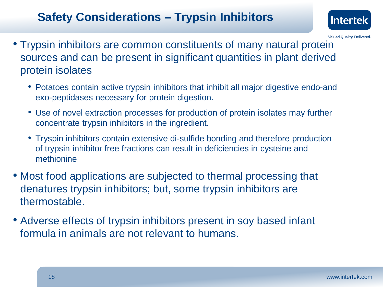## **Safety Considerations – Trypsin Inhibitors**



- Trypsin inhibitors are common constituents of many natural protein sources and can be present in significant quantities in plant derived protein isolates
	- Potatoes contain active trypsin inhibitors that inhibit all major digestive endo-and exo-peptidases necessary for protein digestion.
	- Use of novel extraction processes for production of protein isolates may further concentrate trypsin inhibitors in the ingredient.
	- Tryspin inhibitors contain extensive di-sulfide bonding and therefore production of trypsin inhibitor free fractions can result in deficiencies in cysteine and methionine
- Most food applications are subjected to thermal processing that denatures trypsin inhibitors; but, some trypsin inhibitors are thermostable.
- Adverse effects of trypsin inhibitors present in soy based infant formula in animals are not relevant to humans.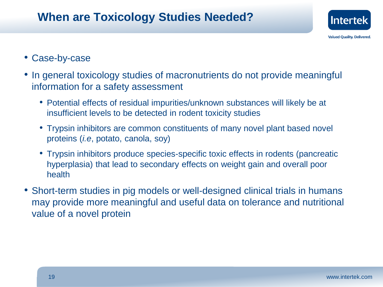## **When are Toxicology Studies Needed?**



#### • Case-by-case

- In general toxicology studies of macronutrients do not provide meaningful information for a safety assessment
	- Potential effects of residual impurities/unknown substances will likely be at insufficient levels to be detected in rodent toxicity studies
	- Trypsin inhibitors are common constituents of many novel plant based novel proteins (*i.e*, potato, canola, soy)
	- Trypsin inhibitors produce species-specific toxic effects in rodents (pancreatic hyperplasia) that lead to secondary effects on weight gain and overall poor health
- Short-term studies in pig models or well-designed clinical trials in humans may provide more meaningful and useful data on tolerance and nutritional value of a novel protein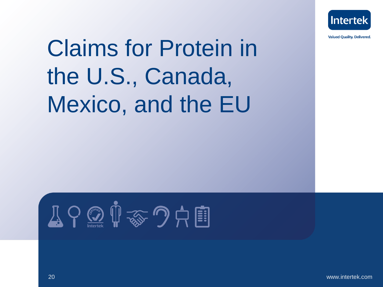

# Claims for Protein in the U.S., Canada, Mexico, and the EU

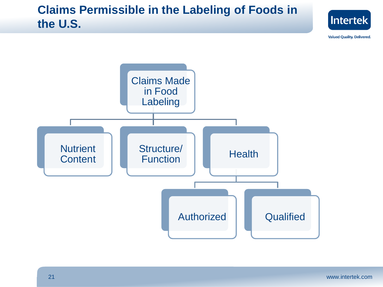## **Claims Permissible in the Labeling of Foods in the U.S.**



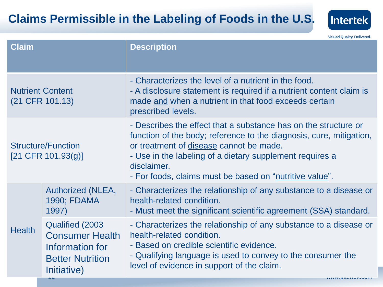## **Claims Permissible in the Labeling of Foods in the U.S.**



| <b>Claim</b>                                      |                                                                                                         | <b>Description</b>                                                                                                                                                                                                                                                                                                      |
|---------------------------------------------------|---------------------------------------------------------------------------------------------------------|-------------------------------------------------------------------------------------------------------------------------------------------------------------------------------------------------------------------------------------------------------------------------------------------------------------------------|
| <b>Nutrient Content</b><br>(21 CFR 101.13)        |                                                                                                         | - Characterizes the level of a nutrient in the food.<br>- A disclosure statement is required if a nutrient content claim is<br>made and when a nutrient in that food exceeds certain<br>prescribed levels.                                                                                                              |
| <b>Structure/Function</b><br>$[21$ CFR 101.93(g)] |                                                                                                         | - Describes the effect that a substance has on the structure or<br>function of the body; reference to the diagnosis, cure, mitigation,<br>or treatment of disease cannot be made.<br>- Use in the labeling of a dietary supplement requires a<br>disclaimer.<br>- For foods, claims must be based on "nutritive value". |
| <b>Health</b>                                     | Authorized (NLEA,<br>1990; FDAMA<br>1997)                                                               | - Characterizes the relationship of any substance to a disease or<br>health-related condition.<br>- Must meet the significant scientific agreement (SSA) standard.                                                                                                                                                      |
|                                                   | Qualified (2003)<br><b>Consumer Health</b><br>Information for<br><b>Better Nutrition</b><br>Initiative) | - Characterizes the relationship of any substance to a disease or<br>health-related condition.<br>- Based on credible scientific evidence.<br>- Qualifying language is used to convey to the consumer the<br>level of evidence in support of the claim.<br><u>WWW.IIIUUIUUN.UUIII</u>                                   |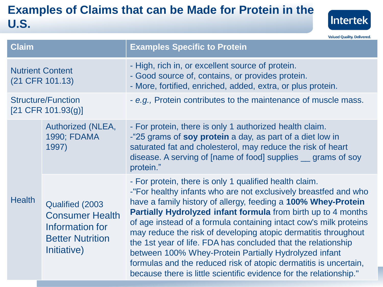## **Examples of Claims that can be Made for Protein in the U.S.**



| <b>Claim</b>                                      |                                                                                                         | <b>Examples Specific to Protein</b>                                                                                                                                                                                                                                                                                                                                                                                                                                                                                                                                                                                                                                           |
|---------------------------------------------------|---------------------------------------------------------------------------------------------------------|-------------------------------------------------------------------------------------------------------------------------------------------------------------------------------------------------------------------------------------------------------------------------------------------------------------------------------------------------------------------------------------------------------------------------------------------------------------------------------------------------------------------------------------------------------------------------------------------------------------------------------------------------------------------------------|
| <b>Nutrient Content</b><br>(21 CFR 101.13)        |                                                                                                         | - High, rich in, or excellent source of protein.<br>- Good source of, contains, or provides protein.<br>- More, fortified, enriched, added, extra, or plus protein.                                                                                                                                                                                                                                                                                                                                                                                                                                                                                                           |
| <b>Structure/Function</b><br>$[21$ CFR 101.93(g)] |                                                                                                         | - e.g., Protein contributes to the maintenance of muscle mass.                                                                                                                                                                                                                                                                                                                                                                                                                                                                                                                                                                                                                |
| <b>Health</b>                                     | Authorized (NLEA,<br>1990; FDAMA<br>1997)                                                               | - For protein, there is only 1 authorized health claim.<br>-"25 grams of <b>soy protein</b> a day, as part of a diet low in<br>saturated fat and cholesterol, may reduce the risk of heart<br>disease. A serving of [name of food] supplies <u>grams</u> of soy<br>protein."                                                                                                                                                                                                                                                                                                                                                                                                  |
|                                                   | Qualified (2003)<br><b>Consumer Health</b><br>Information for<br><b>Better Nutrition</b><br>Initiative) | - For protein, there is only 1 qualified health claim.<br>-"For healthy infants who are not exclusively breastfed and who<br>have a family history of allergy, feeding a 100% Whey-Protein<br><b>Partially Hydrolyzed infant formula</b> from birth up to 4 months<br>of age instead of a formula containing intact cow's milk proteins<br>may reduce the risk of developing atopic dermatitis throughout<br>the 1st year of life. FDA has concluded that the relationship<br>between 100% Whey-Protein Partially Hydrolyzed infant<br>formulas and the reduced risk of atopic dermatitis is uncertain,<br>because there is little scientific evidence for the relationship." |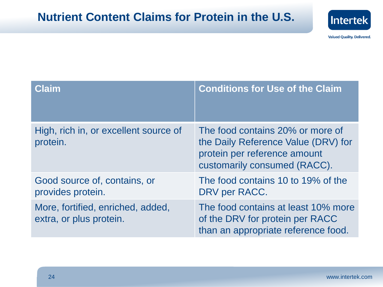## **Nutrient Content Claims for Protein in the U.S.**



| Claim                                                        | <b>Conditions for Use of the Claim</b>                                                                                                  |
|--------------------------------------------------------------|-----------------------------------------------------------------------------------------------------------------------------------------|
| High, rich in, or excellent source of<br>protein.            | The food contains 20% or more of<br>the Daily Reference Value (DRV) for<br>protein per reference amount<br>customarily consumed (RACC). |
| Good source of, contains, or<br>provides protein.            | The food contains 10 to 19% of the<br>DRV per RACC.                                                                                     |
| More, fortified, enriched, added,<br>extra, or plus protein. | The food contains at least 10% more<br>of the DRV for protein per RACC<br>than an appropriate reference food.                           |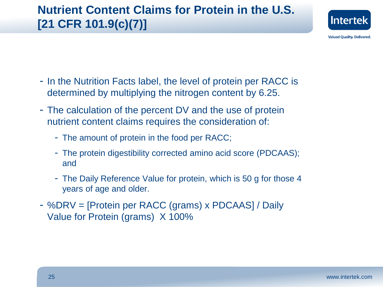## **Nutrient Content Claims for Protein in the U.S. [21 CFR 101.9(c)(7)]**



- In the Nutrition Facts label, the level of protein per RACC is determined by multiplying the nitrogen content by 6.25.
- The calculation of the percent DV and the use of protein nutrient content claims requires the consideration of:
	- The amount of protein in the food per RACC;
	- The protein digestibility corrected amino acid score (PDCAAS); and
	- The Daily Reference Value for protein, which is 50 g for those 4 years of age and older.
- %DRV = [Protein per RACC (grams) x PDCAAS] / Daily Value for Protein (grams) X 100%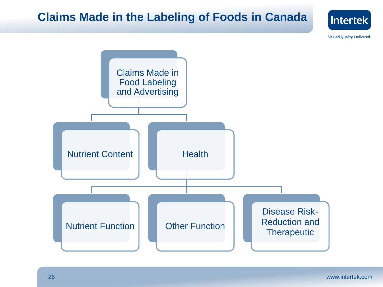### **Claims Made in the Labeling of Foods in Canada**



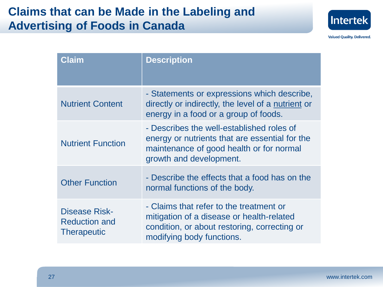## **Claims that can be Made in the Labeling and Advertising of Foods in Canada**



| Claim                                                              | <b>Description</b>                                                                                                                                                 |
|--------------------------------------------------------------------|--------------------------------------------------------------------------------------------------------------------------------------------------------------------|
| <b>Nutrient Content</b>                                            | - Statements or expressions which describe,<br>directly or indirectly, the level of a nutrient or<br>energy in a food or a group of foods.                         |
| <b>Nutrient Function</b>                                           | - Describes the well-established roles of<br>energy or nutrients that are essential for the<br>maintenance of good health or for normal<br>growth and development. |
| <b>Other Function</b>                                              | - Describe the effects that a food has on the<br>normal functions of the body.                                                                                     |
| <b>Disease Risk-</b><br><b>Reduction and</b><br><b>Therapeutic</b> | - Claims that refer to the treatment or<br>mitigation of a disease or health-related<br>condition, or about restoring, correcting or<br>modifying body functions.  |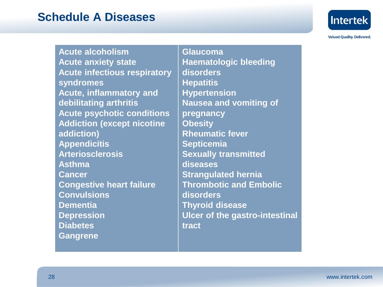#### **Schedule A Diseases**



**Valued Quality. Delivered.** 

**Acute alcoholism Acute anxiety state Acute infectious respiratory syndromes Acute, inflammatory and debilitating arthritis Acute psychotic conditions Addiction (except nicotine addiction) Appendicitis Arteriosclerosis Asthma Cancer Congestive heart failure Convulsions Dementia Depression Diabetes Gangrene**

**Glaucoma Haematologic bleeding disorders Hepatitis Hypertension Nausea and vomiting of pregnancy Obesity Rheumatic fever Septicemia Sexually transmitted diseases Strangulated hernia Thrombotic and Embolic disorders Thyroid disease Ulcer of the gastro-intestinal tract**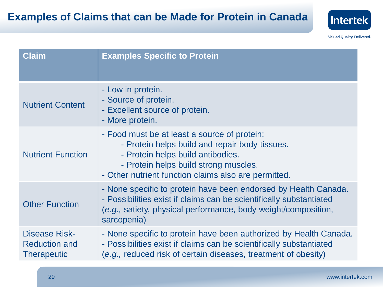

| <b>Claim</b>                                                       | <b>Examples Specific to Protein</b>                                                                                                                                                                                                  |
|--------------------------------------------------------------------|--------------------------------------------------------------------------------------------------------------------------------------------------------------------------------------------------------------------------------------|
| <b>Nutrient Content</b>                                            | - Low in protein.<br>- Source of protein.<br>- Excellent source of protein.<br>- More protein.                                                                                                                                       |
| <b>Nutrient Function</b>                                           | - Food must be at least a source of protein:<br>- Protein helps build and repair body tissues.<br>- Protein helps build antibodies.<br>- Protein helps build strong muscles.<br>- Other nutrient function claims also are permitted. |
| <b>Other Function</b>                                              | - None specific to protein have been endorsed by Health Canada.<br>- Possibilities exist if claims can be scientifically substantiated<br>(e.g., satiety, physical performance, body weight/composition,<br>sarcopenia)              |
| <b>Disease Risk-</b><br><b>Reduction and</b><br><b>Therapeutic</b> | - None specific to protein have been authorized by Health Canada.<br>- Possibilities exist if claims can be scientifically substantiated<br>(e.g., reduced risk of certain diseases, treatment of obesity)                           |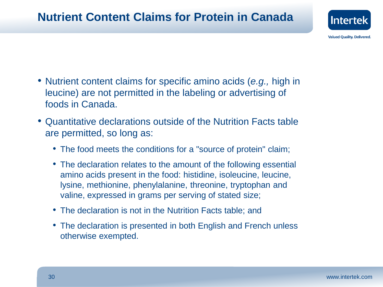

- Nutrient content claims for specific amino acids (*e.g.,* high in leucine) are not permitted in the labeling or advertising of foods in Canada.
- Quantitative declarations outside of the Nutrition Facts table are permitted, so long as:
	- The food meets the conditions for a "source of protein" claim;
	- The declaration relates to the amount of the following essential amino acids present in the food: histidine, isoleucine, leucine, lysine, methionine, phenylalanine, threonine, tryptophan and valine, expressed in grams per serving of stated size;
	- The declaration is not in the Nutrition Facts table; and
	- The declaration is presented in both English and French unless otherwise exempted.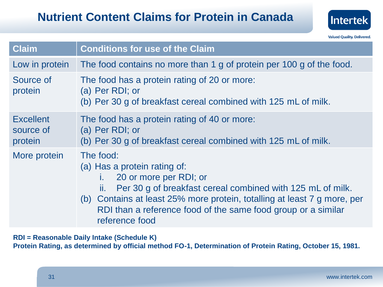

| <b>Claim</b>                             | <b>Conditions for use of the Claim</b>                                                                                                                                                                                                                                                                  |  |
|------------------------------------------|---------------------------------------------------------------------------------------------------------------------------------------------------------------------------------------------------------------------------------------------------------------------------------------------------------|--|
| Low in protein                           | The food contains no more than 1 g of protein per 100 g of the food.                                                                                                                                                                                                                                    |  |
| Source of<br>protein                     | The food has a protein rating of 20 or more:<br>(a) Per RDI; or<br>(b) Per 30 g of breakfast cereal combined with 125 mL of milk.                                                                                                                                                                       |  |
| <b>Excellent</b><br>source of<br>protein | The food has a protein rating of 40 or more:<br>(a) Per RDI; or<br>(b) Per 30 g of breakfast cereal combined with 125 mL of milk.                                                                                                                                                                       |  |
| More protein                             | The food:<br>(a) Has a protein rating of:<br>20 or more per RDI; or<br>Per 30 g of breakfast cereal combined with 125 mL of milk.<br>ii.<br>(b) Contains at least 25% more protein, totalling at least 7 g more, per<br>RDI than a reference food of the same food group or a similar<br>reference food |  |

**RDI = Reasonable Daily Intake (Schedule K)**

**Protein Rating, as determined by official method FO-1, Determination of Protein Rating, October 15, 1981.**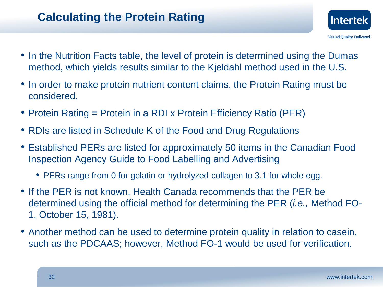## **Calculating the Protein Rating**

- **Valued Quality. Delivered.** • In the Nutrition Facts table, the level of protein is determined using the Dumas method, which yields results similar to the Kjeldahl method used in the U.S.
- In order to make protein nutrient content claims, the Protein Rating must be considered.
- Protein Rating = Protein in a RDI x Protein Efficiency Ratio (PER)
- RDIs are listed in Schedule K of the Food and Drug Regulations
- Established PERs are listed for approximately 50 items in the Canadian Food Inspection Agency Guide to Food Labelling and Advertising
	- PERs range from 0 for gelatin or hydrolyzed collagen to 3.1 for whole egg.
- If the PER is not known, Health Canada recommends that the PER be determined using the official method for determining the PER (*i.e.,* Method FO-1, October 15, 1981).
- Another method can be used to determine protein quality in relation to casein, such as the PDCAAS; however, Method FO-1 would be used for verification.

**Intertek**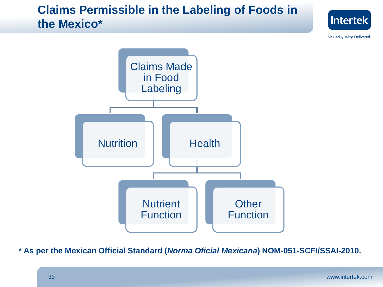## **Claims Permissible in the Labeling of Foods in the Mexico\***



**Valued Quality. Delivered.** 



**\* As per the Mexican Official Standard (***Norma Oficial Mexicana***) NOM-051-SCFI/SSAI-2010.**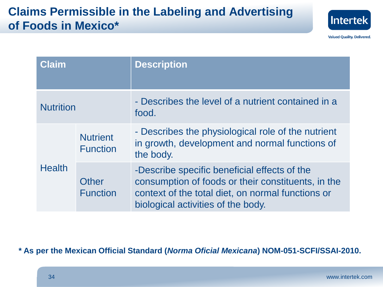## **Claims Permissible in the Labeling and Advertising of Foods in Mexico\***



**Valued Quality. Delivered.** 

| Claim            |                                    | <b>Description</b>                                                                                                                                                                            |
|------------------|------------------------------------|-----------------------------------------------------------------------------------------------------------------------------------------------------------------------------------------------|
| <b>Nutrition</b> |                                    | - Describes the level of a nutrient contained in a<br>food.                                                                                                                                   |
| <b>Health</b>    | <b>Nutrient</b><br><b>Function</b> | - Describes the physiological role of the nutrient<br>in growth, development and normal functions of<br>the body.                                                                             |
|                  | Other<br><b>Function</b>           | -Describe specific beneficial effects of the<br>consumption of foods or their constituents, in the<br>context of the total diet, on normal functions or<br>biological activities of the body. |

**\* As per the Mexican Official Standard (***Norma Oficial Mexicana***) NOM-051-SCFI/SSAI-2010.**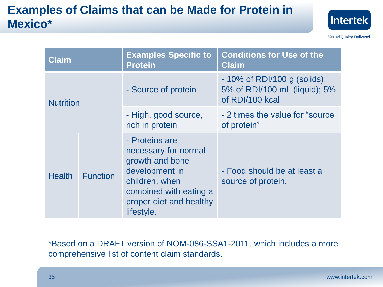## **Examples of Claims that can be Made for Protein in Mexico\***



**Valued Quality. Delivered.** 

| <b>Claim</b>     |                 | <b>Examples Specific to</b><br><b>Protein</b>                                                                                                                    | <b>Conditions for Use of the</b><br><b>Claim</b>                                   |
|------------------|-----------------|------------------------------------------------------------------------------------------------------------------------------------------------------------------|------------------------------------------------------------------------------------|
| <b>Nutrition</b> |                 | - Source of protein                                                                                                                                              | $-10\%$ of RDI/100 g (solids);<br>5% of RDI/100 mL (liquid); 5%<br>of RDI/100 kcal |
|                  |                 | - High, good source,<br>rich in protein                                                                                                                          | - 2 times the value for "source"<br>of protein"                                    |
| <b>Health</b>    | <b>Function</b> | - Proteins are<br>necessary for normal<br>growth and bone<br>development in<br>children, when<br>combined with eating a<br>proper diet and healthy<br>lifestyle. | - Food should be at least a<br>source of protein.                                  |

\*Based on a DRAFT version of NOM-086-SSA1-2011, which includes a more comprehensive list of content claim standards.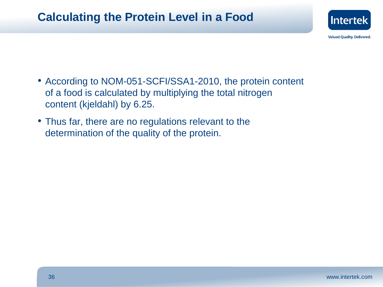## **Calculating the Protein Level in a Food**



- According to NOM-051-SCFI/SSA1-2010, the protein content of a food is calculated by multiplying the total nitrogen content (kjeldahl) by 6.25.
- Thus far, there are no regulations relevant to the determination of the quality of the protein.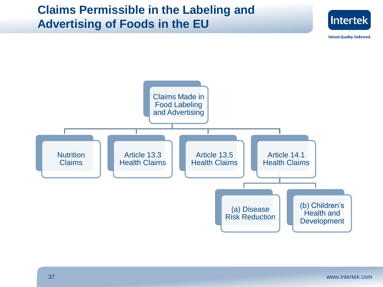## **Claims Permissible in the Labeling and Advertising of Foods in the EU**



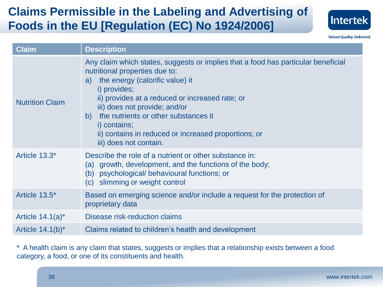## **Claims Permissible in the Labeling and Advertising of Foods in the EU [Regulation (EC) No 1924/2006]**



**Valued Quality. Delivered.** 

| <b>Claim</b>           | <b>Description</b>                                                                                                                                                                                                                                                                                                                                                                                                         |
|------------------------|----------------------------------------------------------------------------------------------------------------------------------------------------------------------------------------------------------------------------------------------------------------------------------------------------------------------------------------------------------------------------------------------------------------------------|
| <b>Nutrition Claim</b> | Any claim which states, suggests or implies that a food has particular beneficial<br>nutritional properties due to:<br>the energy (calorific value) it<br>a)<br>i) provides;<br>ii) provides at a reduced or increased rate; or<br>iii) does not provide; and/or<br>the nutrients or other substances it<br>$\mathsf{b}$<br>i) contains;<br>ii) contains in reduced or increased proportions; or<br>iii) does not contain. |
| Article 13.3*          | Describe the role of a nutrient or other substance in:<br>(a) growth, development, and the functions of the body;<br>(b) psychological/ behavioural functions; or<br>(c) slimming or weight control                                                                                                                                                                                                                        |
| Article 13.5*          | Based on emerging science and/or include a request for the protection of<br>proprietary data                                                                                                                                                                                                                                                                                                                               |
| Article $14.1(a)^*$    | Disease risk-reduction claims                                                                                                                                                                                                                                                                                                                                                                                              |
| Article $14.1(b)^*$    | Claims related to children's health and development                                                                                                                                                                                                                                                                                                                                                                        |

\* A health claim is any claim that states, suggests or implies that a relationship exists between a food category, a food, or one of its constituents and health.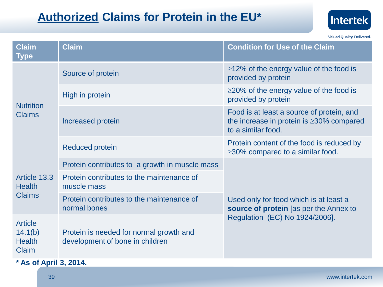## **Authorized Claims for Protein in the EU\***



**Valued Quality. Delivered.** 

| <b>Claim</b><br><b>Type</b>                         | <b>Claim</b>                                                                                                 | <b>Condition for Use of the Claim</b>                                                                             |  |
|-----------------------------------------------------|--------------------------------------------------------------------------------------------------------------|-------------------------------------------------------------------------------------------------------------------|--|
| <b>Nutrition</b><br><b>Claims</b>                   | Source of protein                                                                                            | $\geq$ 12% of the energy value of the food is<br>provided by protein                                              |  |
|                                                     | High in protein                                                                                              | $\geq$ 20% of the energy value of the food is<br>provided by protein                                              |  |
|                                                     | Increased protein                                                                                            | Food is at least a source of protein, and<br>the increase in protein is $\geq$ 30% compared<br>to a similar food. |  |
|                                                     | <b>Reduced protein</b>                                                                                       | Protein content of the food is reduced by<br>$\geq$ 30% compared to a similar food.                               |  |
| Article 13.3<br><b>Health</b><br><b>Claims</b>      | Protein contributes to a growth in muscle mass                                                               |                                                                                                                   |  |
|                                                     | Protein contributes to the maintenance of<br>muscle mass                                                     |                                                                                                                   |  |
|                                                     | Protein contributes to the maintenance of<br>normal bones                                                    | Used only for food which is at least a<br>source of protein [as per the Annex to                                  |  |
| <b>Article</b><br>14.1(b)<br><b>Health</b><br>Claim | Regulation (EC) No 1924/2006].<br>Protein is needed for normal growth and<br>development of bone in children |                                                                                                                   |  |
| $*$ Ac of Anril 2, 2014                             |                                                                                                              |                                                                                                                   |  |

**\* As of April 3, 2014.**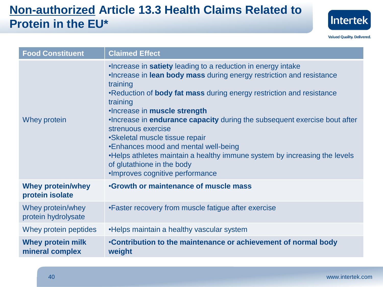## **Non-authorized Article 13.3 Health Claims Related to Protein in the EU\***



| <b>Food Constituent</b>                     | <b>Claimed Effect</b>                                                                                                                                                                                                                                                                                                                                                                                                                                                                                                                                                                                             |
|---------------------------------------------|-------------------------------------------------------------------------------------------------------------------------------------------------------------------------------------------------------------------------------------------------------------------------------------------------------------------------------------------------------------------------------------------------------------------------------------------------------------------------------------------------------------------------------------------------------------------------------------------------------------------|
| Whey protein                                | . Increase in satiety leading to a reduction in energy intake<br>. Increase in lean body mass during energy restriction and resistance<br>training<br>•Reduction of <b>body fat mass</b> during energy restriction and resistance<br>training<br>.Increase in muscle strength<br>. Increase in <b>endurance capacity</b> during the subsequent exercise bout after<br>strenuous exercise<br>•Skeletal muscle tissue repair<br>•Enhances mood and mental well-being<br>. Helps athletes maintain a healthy immune system by increasing the levels<br>of glutathione in the body<br>.Improves cognitive performance |
| <b>Whey protein/whey</b><br>protein isolate | <b>.Growth or maintenance of muscle mass</b>                                                                                                                                                                                                                                                                                                                                                                                                                                                                                                                                                                      |
| Whey protein/whey<br>protein hydrolysate    | • Faster recovery from muscle fatigue after exercise                                                                                                                                                                                                                                                                                                                                                                                                                                                                                                                                                              |
| Whey protein peptides                       | . Helps maintain a healthy vascular system                                                                                                                                                                                                                                                                                                                                                                                                                                                                                                                                                                        |
| <b>Whey protein milk</b><br>mineral complex | •Contribution to the maintenance or achievement of normal body<br>weight                                                                                                                                                                                                                                                                                                                                                                                                                                                                                                                                          |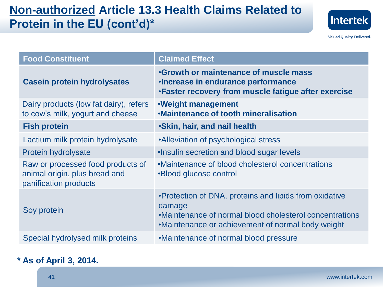## **Non-authorized Article 13.3 Health Claims Related to Protein in the EU (cont'd)\***



**Valued Quality. Delivered.** 

| <b>Food Constituent</b>                                                                     | <b>Claimed Effect</b>                                                                                                                                                             |
|---------------------------------------------------------------------------------------------|-----------------------------------------------------------------------------------------------------------------------------------------------------------------------------------|
| <b>Casein protein hydrolysates</b>                                                          | <b>Growth or maintenance of muscle mass</b><br>. Increase in endurance performance<br>. Faster recovery from muscle fatigue after exercise                                        |
| Dairy products (low fat dairy), refers<br>to cow's milk, yogurt and cheese                  | .Weight management<br><b>.Maintenance of tooth mineralisation</b>                                                                                                                 |
| <b>Fish protein</b>                                                                         | <b>Skin, hair, and nail health</b>                                                                                                                                                |
| Lactium milk protein hydrolysate                                                            | •Alleviation of psychological stress                                                                                                                                              |
| <b>Protein hydrolysate</b>                                                                  | . Insulin secretion and blood sugar levels                                                                                                                                        |
| Raw or processed food products of<br>animal origin, plus bread and<br>panification products | •Maintenance of blood cholesterol concentrations<br>•Blood glucose control                                                                                                        |
| Soy protein                                                                                 | • Protection of DNA, proteins and lipids from oxidative<br>damage<br>•Maintenance of normal blood cholesterol concentrations<br>•Maintenance or achievement of normal body weight |
| Special hydrolysed milk proteins                                                            | •Maintenance of normal blood pressure                                                                                                                                             |

#### **\* As of April 3, 2014.**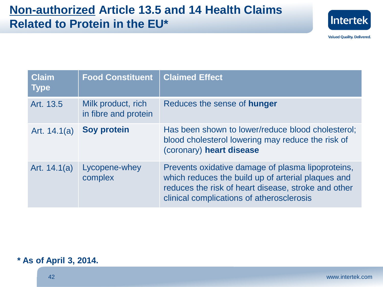

| <b>Claim</b><br><b>Type</b> | <b>Food Constituent</b>                    | <b>Claimed Effect</b>                                                                                                                                                                                       |
|-----------------------------|--------------------------------------------|-------------------------------------------------------------------------------------------------------------------------------------------------------------------------------------------------------------|
| Art. 13.5                   | Milk product, rich<br>in fibre and protein | Reduces the sense of <b>hunger</b>                                                                                                                                                                          |
| Art. $14.1(a)$              | <b>Soy protein</b>                         | Has been shown to lower/reduce blood cholesterol;<br>blood cholesterol lowering may reduce the risk of<br>(coronary) heart disease                                                                          |
| Art. $14.1(a)$              | Lycopene-whey<br>complex                   | Prevents oxidative damage of plasma lipoproteins,<br>which reduces the build up of arterial plaques and<br>reduces the risk of heart disease, stroke and other<br>clinical complications of atherosclerosis |

#### **\* As of April 3, 2014.**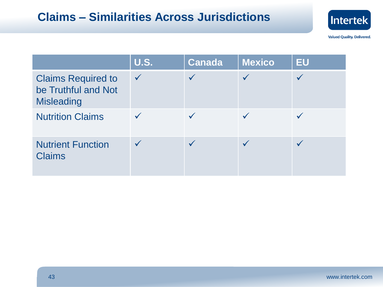## **Claims – Similarities Across Jurisdictions**



|                                                                       | <b>U.S.</b>  | <b>Canada</b> | <b>Mexico</b> | <b>EU</b> |
|-----------------------------------------------------------------------|--------------|---------------|---------------|-----------|
| <b>Claims Required to</b><br>be Truthful and Not<br><b>Misleading</b> | $\checkmark$ |               |               |           |
| <b>Nutrition Claims</b>                                               |              |               |               |           |
| <b>Nutrient Function</b><br><b>Claims</b>                             |              |               |               |           |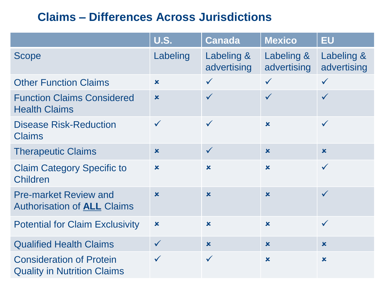## **Claims – Differences Across Jurisdictions**

|                                                                       | <b>U.S.</b>               | <b>Canada</b>             | <b>Mexico</b>             | <b>EU</b>                 |
|-----------------------------------------------------------------------|---------------------------|---------------------------|---------------------------|---------------------------|
| <b>Scope</b>                                                          | Labeling                  | Labeling &<br>advertising | Labeling &<br>advertising | Labeling &<br>advertising |
| <b>Other Function Claims</b>                                          | $\mathbf x$               | $\checkmark$              | $\checkmark$              | $\checkmark$              |
| <b>Function Claims Considered</b><br><b>Health Claims</b>             | $\boldsymbol{\mathsf{x}}$ | $\checkmark$              | $\checkmark$              | $\checkmark$              |
| <b>Disease Risk-Reduction</b><br><b>Claims</b>                        | $\checkmark$              | $\checkmark$              | $\mathbf x$               | $\checkmark$              |
| <b>Therapeutic Claims</b>                                             | $\mathbf x$               | $\checkmark$              | $\mathbf x$               | $\boldsymbol{\mathsf{x}}$ |
| <b>Claim Category Specific to</b><br>Children                         | $\boldsymbol{\mathsf{x}}$ | $\boldsymbol{\mathsf{x}}$ | $\mathbf x$               | $\checkmark$              |
| <b>Pre-market Review and</b><br><b>Authorisation of ALL Claims</b>    | $\boldsymbol{\mathsf{x}}$ | $\boldsymbol{\mathsf{x}}$ | $\mathbf x$               | $\checkmark$              |
| <b>Potential for Claim Exclusivity</b>                                | $\boldsymbol{\mathsf{x}}$ | $\boldsymbol{\mathsf{x}}$ | $\boldsymbol{\mathsf{x}}$ | $\checkmark$              |
| <b>Qualified Health Claims</b>                                        | $\checkmark$              | $\boldsymbol{\mathsf{x}}$ | $\mathbf x$               | $\mathbf x$               |
| <b>Consideration of Protein</b><br><b>Quality in Nutrition Claims</b> | $\checkmark$              | $\checkmark$              | $\mathbf x$               | $\boldsymbol{\mathsf{x}}$ |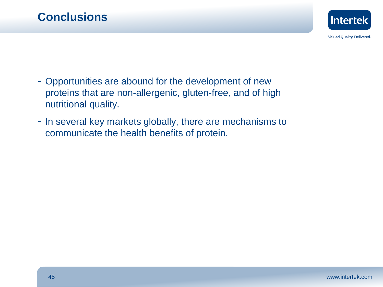

- Opportunities are abound for the development of new proteins that are non-allergenic, gluten-free, and of high nutritional quality.
- In several key markets globally, there are mechanisms to communicate the health benefits of protein.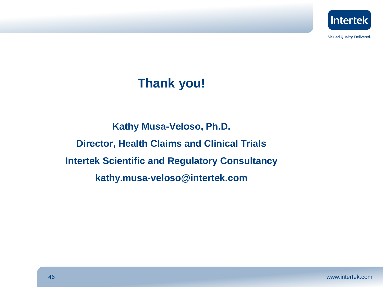

## **Thank you!**

**Kathy Musa-Veloso, Ph.D. Director, Health Claims and Clinical Trials Intertek Scientific and Regulatory Consultancy kathy.musa-veloso@intertek.com**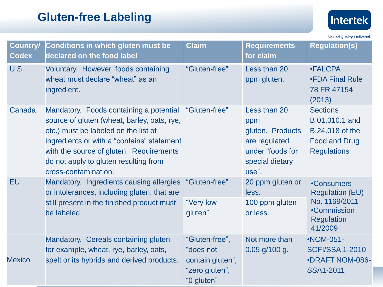## **Gluten-free Labeling**



| <b>Country/</b><br><b>Codex</b> | <b>Conditions in which gluten must be</b><br>declared on the food label                                                                                                                                                                                                                                | <b>Claim</b>                                                                    | <b>Requirements</b><br>for claim                                                                         | <b>Regulation(s)</b>                                                                                        |
|---------------------------------|--------------------------------------------------------------------------------------------------------------------------------------------------------------------------------------------------------------------------------------------------------------------------------------------------------|---------------------------------------------------------------------------------|----------------------------------------------------------------------------------------------------------|-------------------------------------------------------------------------------------------------------------|
| U.S.                            | Voluntary. However, foods containing<br>wheat must declare "wheat" as an<br>ingredient.                                                                                                                                                                                                                | "Gluten-free"                                                                   | Less than 20<br>ppm gluten.                                                                              | <b>•FALCPA</b><br><b>•FDA Final Rule</b><br>78 FR 47154<br>(2013)                                           |
| Canada                          | Mandatory. Foods containing a potential "Gluten-free"<br>source of gluten (wheat, barley, oats, rye,<br>etc.) must be labeled on the list of<br>ingredients or with a "contains" statement<br>with the source of gluten. Requirements<br>do not apply to gluten resulting from<br>cross-contamination. |                                                                                 | Less than 20<br>ppm<br>gluten. Products<br>are regulated<br>under "foods for<br>special dietary<br>use". | <b>Sections</b><br>B.01.010.1 and<br><b>B.24.018 of the</b><br><b>Food and Drug</b><br><b>Regulations</b>   |
| <b>EU</b>                       | Mandatory. Ingredients causing allergies<br>or intolerances, including gluten, that are<br>still present in the finished product must<br>be labeled.                                                                                                                                                   | "Gluten-free"<br>"Very low<br>gluten"                                           | 20 ppm gluten or<br>less.<br>100 ppm gluten<br>or less.                                                  | •Consumers<br><b>Regulation (EU)</b><br>No. 1169/2011<br><b>•Commission</b><br><b>Regulation</b><br>41/2009 |
| <b>Mexico</b>                   | Mandatory. Cereals containing gluten,<br>for example, wheat, rye, barley, oats,<br>spelt or its hybrids and derived products.                                                                                                                                                                          | "Gluten-free",<br>"does not<br>contain gluten",<br>"zero gluten",<br>"0 gluten" | Not more than<br>$0.05$ g/100 g.                                                                         | $\cdot$ NOM-051-<br><b>SCFI/SSA 1-2010</b><br><b>•DRAFT NOM-086-</b><br><b>SSA1-2011</b>                    |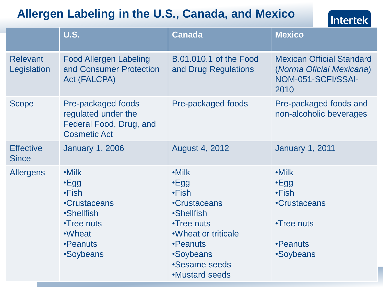## **Allergen Labeling in the U.S., Canada, and Mexico**



|                                  | <b>U.S.</b>                                                                                                                       | Canada                                                                                                                                                                             | <b>Mexico</b>                                                                                      |
|----------------------------------|-----------------------------------------------------------------------------------------------------------------------------------|------------------------------------------------------------------------------------------------------------------------------------------------------------------------------------|----------------------------------------------------------------------------------------------------|
| <b>Relevant</b><br>Legislation   | <b>Food Allergen Labeling</b><br>and Consumer Protection<br>Act (FALCPA)                                                          | B.01.010.1 of the Food<br>and Drug Regulations                                                                                                                                     | <b>Mexican Official Standard</b><br>(Norma Oficial Mexicana)<br>NOM-051-SCFI/SSAI-<br>2010         |
| <b>Scope</b>                     | Pre-packaged foods<br>regulated under the<br>Federal Food, Drug, and<br><b>Cosmetic Act</b>                                       | Pre-packaged foods                                                                                                                                                                 | Pre-packaged foods and<br>non-alcoholic beverages                                                  |
| <b>Effective</b><br><b>Since</b> | <b>January 1, 2006</b>                                                                                                            | <b>August 4, 2012</b>                                                                                                                                                              | <b>January 1, 2011</b>                                                                             |
| <b>Allergens</b>                 | $\cdot$ Milk<br>$\cdot$ Egg<br>•Fish<br><b>•Crustaceans</b><br><b>•Shellfish</b><br>•Tree nuts<br>•Wheat<br>•Peanuts<br>•Soybeans | $\cdot$ Milk<br>$\cdot$ Egg<br>•Fish<br>•Crustaceans<br><b>•Shellfish</b><br>•Tree nuts<br>• Wheat or triticale<br>•Peanuts<br>•Soybeans<br>•Sesame seeds<br><b>.Mustard seeds</b> | $\cdot$ Milk<br>$\cdot$ Egg<br>•Fish<br><b>•Crustaceans</b><br>•Tree nuts<br>•Peanuts<br>•Soybeans |